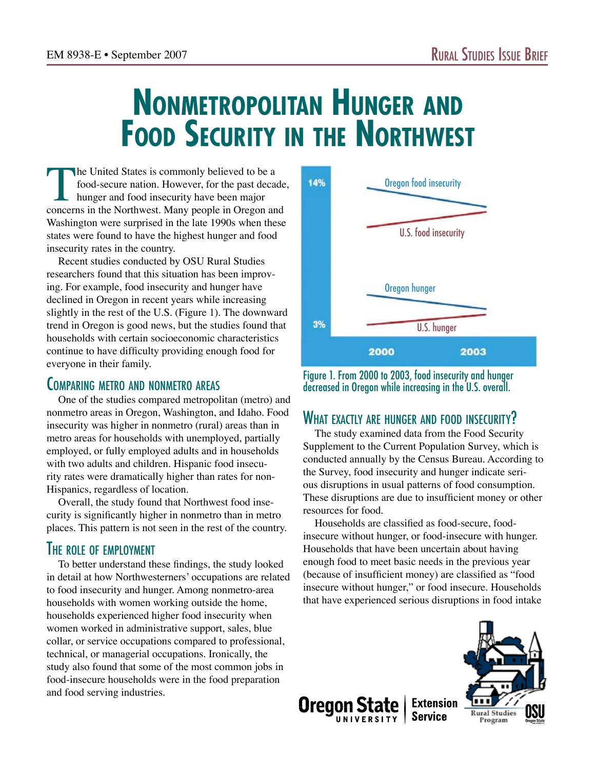# **Nonmetropolitan Hunger and Food Security in the Northwest**

The United States is commonly believed to be a<br>food-secure nation. However, for the past decade<br>hunger and food insecurity have been major<br>concerns in the Northwest. Many people in Oregon an food-secure nation. However, for the past decade, hunger and food insecurity have been major concerns in the Northwest. Many people in Oregon and Washington were surprised in the late 1990s when these states were found to have the highest hunger and food insecurity rates in the country.

Recent studies conducted by OSU Rural Studies researchers found that this situation has been improving. For example, food insecurity and hunger have declined in Oregon in recent years while increasing slightly in the rest of the U.S. (Figure 1). The downward trend in Oregon is good news, but the studies found that households with certain socioeconomic characteristics continue to have difficulty providing enough food for everyone in their family.

### Comparing metro and nonmetro areas

One of the studies compared metropolitan (metro) and nonmetro areas in Oregon, Washington, and Idaho. Food insecurity was higher in nonmetro (rural) areas than in metro areas for households with unemployed, partially employed, or fully employed adults and in households with two adults and children. Hispanic food insecurity rates were dramatically higher than rates for non-Hispanics, regardless of location.

Overall, the study found that Northwest food insecurity is significantly higher in nonmetro than in metro places. This pattern is not seen in the rest of the country.

# **THE ROLE OF EMPLOYMENT**

To better understand these findings, the study looked in detail at how Northwesterners' occupations are related to food insecurity and hunger. Among nonmetro-area households with women working outside the home, households experienced higher food insecurity when women worked in administrative support, sales, blue collar, or service occupations compared to professional, technical, or managerial occupations. Ironically, the study also found that some of the most common jobs in food-insecure households were in the food preparation and food serving industries.



Figure 1. From 2000 to 2003, food insecurity and hunger decreased in Oregon while increasing in the U.S. overall.

# WHAT EXACTLY ARE HUNGER AND FOOD INSECURITY?

The study examined data from the Food Security Supplement to the Current Population Survey, which is conducted annually by the Census Bureau. According to the Survey, food insecurity and hunger indicate serious disruptions in usual patterns of food consumption. These disruptions are due to insufficient money or other resources for food.

Households are classified as food-secure, foodinsecure without hunger, or food-insecure with hunger. Households that have been uncertain about having enough food to meet basic needs in the previous year (because of insufficient money) are classified as "food insecure without hunger," or food insecure. Households that have experienced serious disruptions in food intake